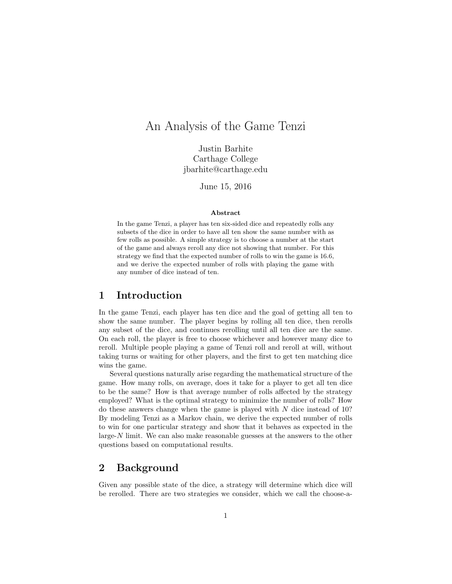# An Analysis of the Game Tenzi

Justin Barhite Carthage College jbarhite@carthage.edu

June 15, 2016

#### Abstract

In the game Tenzi, a player has ten six-sided dice and repeatedly rolls any subsets of the dice in order to have all ten show the same number with as few rolls as possible. A simple strategy is to choose a number at the start of the game and always reroll any dice not showing that number. For this strategy we find that the expected number of rolls to win the game is 16.6, and we derive the expected number of rolls with playing the game with any number of dice instead of ten.

### 1 Introduction

In the game Tenzi, each player has ten dice and the goal of getting all ten to show the same number. The player begins by rolling all ten dice, then rerolls any subset of the dice, and continues rerolling until all ten dice are the same. On each roll, the player is free to choose whichever and however many dice to reroll. Multiple people playing a game of Tenzi roll and reroll at will, without taking turns or waiting for other players, and the first to get ten matching dice wins the game.

Several questions naturally arise regarding the mathematical structure of the game. How many rolls, on average, does it take for a player to get all ten dice to be the same? How is that average number of rolls affected by the strategy employed? What is the optimal strategy to minimize the number of rolls? How do these answers change when the game is played with  $N$  dice instead of 10? By modeling Tenzi as a Markov chain, we derive the expected number of rolls to win for one particular strategy and show that it behaves as expected in the large- $N$  limit. We can also make reasonable guesses at the answers to the other questions based on computational results.

## 2 Background

Given any possible state of the dice, a strategy will determine which dice will be rerolled. There are two strategies we consider, which we call the choose-a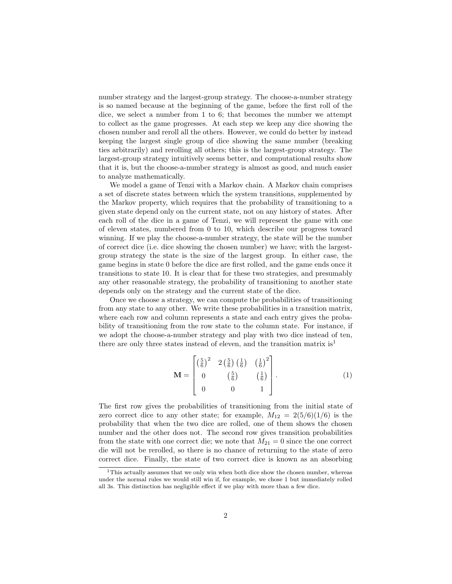number strategy and the largest-group strategy. The choose-a-number strategy is so named because at the beginning of the game, before the first roll of the dice, we select a number from 1 to 6; that becomes the number we attempt to collect as the game progresses. At each step we keep any dice showing the chosen number and reroll all the others. However, we could do better by instead keeping the largest single group of dice showing the same number (breaking ties arbitrarily) and rerolling all others; this is the largest-group strategy. The largest-group strategy intuitively seems better, and computational results show that it is, but the choose-a-number strategy is almost as good, and much easier to analyze mathematically.

We model a game of Tenzi with a Markov chain. A Markov chain comprises a set of discrete states between which the system transitions, supplemented by the Markov property, which requires that the probability of transitioning to a given state depend only on the current state, not on any history of states. After each roll of the dice in a game of Tenzi, we will represent the game with one of eleven states, numbered from 0 to 10, which describe our progress toward winning. If we play the choose-a-number strategy, the state will be the number of correct dice (i.e. dice showing the chosen number) we have; with the largestgroup strategy the state is the size of the largest group. In either case, the game begins in state 0 before the dice are first rolled, and the game ends once it transitions to state 10. It is clear that for these two strategies, and presumably any other reasonable strategy, the probability of transitioning to another state depends only on the strategy and the current state of the dice.

Once we choose a strategy, we can compute the probabilities of transitioning from any state to any other. We write these probabilities in a transition matrix, where each row and column represents a state and each entry gives the probability of transitioning from the row state to the column state. For instance, if we adopt the choose-a-number strategy and play with two dice instead of ten, there are only three states instead of eleven, and the transition matrix  $is<sup>1</sup>$ 

$$
\mathbf{M} = \begin{bmatrix} \left(\frac{5}{6}\right)^2 & 2\left(\frac{5}{6}\right)\left(\frac{1}{6}\right) & \left(\frac{1}{6}\right)^2\\ 0 & \left(\frac{5}{6}\right) & \left(\frac{1}{6}\right) \\ 0 & 0 & 1 \end{bmatrix} . \tag{1}
$$

The first row gives the probabilities of transitioning from the initial state of zero correct dice to any other state; for example,  $M_{12} = 2(5/6)(1/6)$  is the probability that when the two dice are rolled, one of them shows the chosen number and the other does not. The second row gives transition probabilities from the state with one correct die; we note that  $M_{21} = 0$  since the one correct die will not be rerolled, so there is no chance of returning to the state of zero correct dice. Finally, the state of two correct dice is known as an absorbing

<sup>&</sup>lt;sup>1</sup>This actually assumes that we only win when both dice show the chosen number, whereas under the normal rules we would still win if, for example, we chose 1 but immediately rolled all 3s. This distinction has negligible effect if we play with more than a few dice.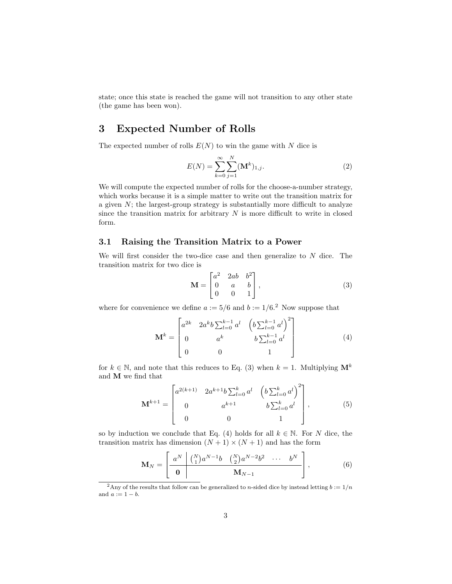state; once this state is reached the game will not transition to any other state (the game has been won).

# 3 Expected Number of Rolls

The expected number of rolls  $E(N)$  to win the game with N dice is

$$
E(N) = \sum_{k=0}^{\infty} \sum_{j=1}^{N} (\mathbf{M}^{k})_{1,j}.
$$
 (2)

We will compute the expected number of rolls for the choose-a-number strategy, which works because it is a simple matter to write out the transition matrix for a given  $N$ ; the largest-group strategy is substantially more difficult to analyze since the transition matrix for arbitrary  $N$  is more difficult to write in closed form.

#### 3.1 Raising the Transition Matrix to a Power

We will first consider the two-dice case and then generalize to  $N$  dice. The transition matrix for two dice is

$$
\mathbf{M} = \begin{bmatrix} a^2 & 2ab & b^2 \\ 0 & a & b \\ 0 & 0 & 1 \end{bmatrix},
$$
 (3)

where for convenience we define  $a := 5/6$  and  $b := 1/6<sup>2</sup>$  Now suppose that

$$
\mathbf{M}^{k} = \begin{bmatrix} a^{2k} & 2a^{k}b \sum_{l=0}^{k-1} a^{l} & \left( b \sum_{l=0}^{k-1} a^{l} \right)^{2} \\ 0 & a^{k} & b \sum_{l=0}^{k-1} a^{l} \\ 0 & 0 & 1 \end{bmatrix}
$$
(4)

for  $k \in \mathbb{N}$ , and note that this reduces to Eq. (3) when  $k = 1$ . Multiplying  $\mathbf{M}^{k}$ and M we find that

$$
\mathbf{M}^{k+1} = \begin{bmatrix} a^{2(k+1)} & 2a^{k+1}b \sum_{l=0}^{k} a^{l} & \left( b \sum_{l=0}^{k} a^{l} \right)^{2} \\ 0 & a^{k+1} & b \sum_{l=0}^{k} a^{l} \\ 0 & 0 & 1 \end{bmatrix},
$$
(5)

so by induction we conclude that Eq. (4) holds for all  $k \in \mathbb{N}$ . For N dice, the transition matrix has dimension  $(N + 1) \times (N + 1)$  and has the form

$$
\mathbf{M}_{N} = \left[ \begin{array}{c|c} a^{N} & {N \choose 1} a^{N-1} b & {N \choose 2} a^{N-2} b^{2} & \cdots & b^{N} \\ \hline \mathbf{0} & & \mathbf{M}_{N-1} & \end{array} \right], \tag{6}
$$

<sup>&</sup>lt;sup>2</sup>Any of the results that follow can be generalized to *n*-sided dice by instead letting  $b := 1/n$ and  $a := 1 - b$ .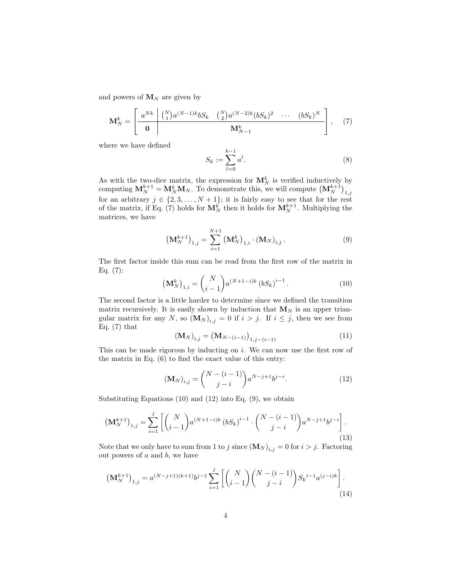and powers of  $M_N$  are given by

$$
\mathbf{M}_{N}^{k} = \left[\begin{array}{c|c} a^{Nk} & \binom{N}{1} a^{(N-1)k} b S_{k} & \binom{N}{2} a^{(N-2)k} (b S_{k})^{2} & \cdots & (b S_{k})^{N} \\ \hline \mathbf{0} & \mathbf{M}_{N-1}^{k} & \end{array}\right], \quad (7)
$$

where we have defined

$$
S_k := \sum_{l=0}^{k-1} a^l.
$$
 (8)

As with the two-dice matrix, the expression for  $\mathbf{M}_{N}^{k}$  is verified inductively by computing  $M_N^{k+1} = M_N^k M_N$ . To demonstrate this, we will compute  $(M_N^{k+1})_{1,j}$ for an arbitrary  $j \in \{2, 3, ..., N + 1\}$ ; it is fairly easy to see that for the rest of the matrix, if Eq.  $(7)$  holds for  $M_N^k$  then it holds for  $M_N^{k+1}$ . Multiplying the matrices, we have

$$
\left(\mathbf{M}_{N}^{k+1}\right)_{1,j} = \sum_{i=1}^{N+1} \left(\mathbf{M}_{N}^{k}\right)_{1,i} \cdot \left(\mathbf{M}_{N}\right)_{i,j}.
$$
\n(9)

The first factor inside this sum can be read from the first row of the matrix in Eq.  $(7)$ :

$$
\left(\mathbf{M}_{N}^{k}\right)_{1,i} = \binom{N}{i-1} a^{(N+1-i)k} \left(bS_{k}\right)^{i-1}.
$$
 (10)

The second factor is a little harder to determine since we defined the transition matrix recursively. It is easily shown by induction that  $M_N$  is an upper triangular matrix for any N, so  $(\mathbf{M}_N)_{i,j} = 0$  if  $i > j$ . If  $i \leq j$ , then we see from Eq.  $(7)$  that

$$
(\mathbf{M}_{N})_{i,j} = (\mathbf{M}_{N-(i-1)})_{1,j-(i-1)}
$$
\n(11)

This can be made rigorous by inducting on i. We can now use the first row of the matrix in Eq. (6) to find the exact value of this entry:

$$
(\mathbf{M}_{N})_{i,j} = \binom{N-(i-1)}{j-i} a^{N-j+1} b^{j-i}.
$$
 (12)

Substituting Equations  $(10)$  and  $(12)$  into Eq.  $(9)$ , we obtain

$$
\left(\mathbf{M}_{N}^{k+1}\right)_{1,j} = \sum_{i=1}^{j} \left[ \binom{N}{i-1} a^{(N+1-i)k} \left( b S_{k} \right)^{i-1} \cdot \binom{N-(i-1)}{j-i} a^{N-j+1} b^{j-i} \right].
$$
\n(13)

Note that we only have to sum from 1 to j since  $(\mathbf{M}_N)_{i,j} = 0$  for  $i > j$ . Factoring out powers of  $a$  and  $b$ , we have

$$
\left(\mathbf{M}_{N}^{k+1}\right)_{1,j} = a^{(N-j+1)(k+1)}b^{j-1}\sum_{i=1}^{j} \left[ \binom{N}{i-1} \binom{N-(i-1)}{j-i} S_{k}^{i-1} a^{(j-i)k} \right].
$$
\n(14)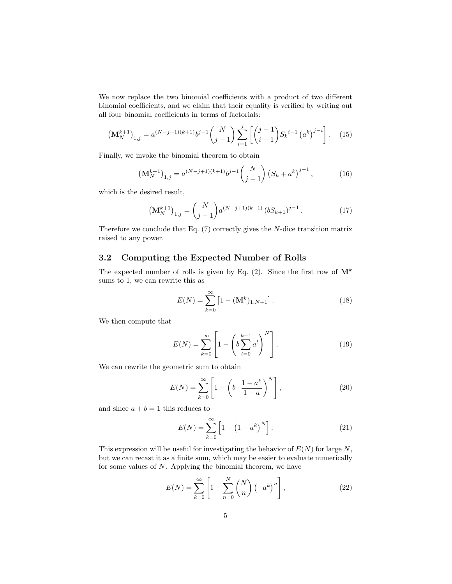We now replace the two binomial coefficients with a product of two different binomial coefficients, and we claim that their equality is verified by writing out all four binomial coefficients in terms of factorials:

$$
\left(\mathbf{M}_{N}^{k+1}\right)_{1,j} = a^{(N-j+1)(k+1)}b^{j-1}\binom{N}{j-1}\sum_{i=1}^{j}\left[\binom{j-1}{i-1}S_{k}^{i-1}\left(a^{k}\right)^{j-i}\right].\tag{15}
$$

Finally, we invoke the binomial theorem to obtain

$$
\left(\mathbf{M}_{N}^{k+1}\right)_{1,j} = a^{(N-j+1)(k+1)}b^{j-1}\binom{N}{j-1}\left(S_k + a^k\right)^{j-1},\tag{16}
$$

which is the desired result,

$$
\left(\mathbf{M}_{N}^{k+1}\right)_{1,j} = \binom{N}{j-1} a^{(N-j+1)(k+1)} \left(bS_{k+1}\right)^{j-1}.\tag{17}
$$

Therefore we conclude that Eq.  $(7)$  correctly gives the N-dice transition matrix raised to any power.

### 3.2 Computing the Expected Number of Rolls

The expected number of rolls is given by Eq. (2). Since the first row of  $\mathbf{M}^{k}$ sums to 1, we can rewrite this as

$$
E(N) = \sum_{k=0}^{\infty} \left[ 1 - (\mathbf{M}^{k})_{1,N+1} \right].
$$
 (18)

We then compute that

$$
E(N) = \sum_{k=0}^{\infty} \left[ 1 - \left( b \sum_{l=0}^{k-1} a^l \right)^N \right].
$$
 (19)

We can rewrite the geometric sum to obtain

$$
E(N) = \sum_{k=0}^{\infty} \left[ 1 - \left( b \cdot \frac{1 - a^k}{1 - a} \right)^N \right],
$$
 (20)

and since  $a + b = 1$  this reduces to

$$
E(N) = \sum_{k=0}^{\infty} \left[ 1 - \left( 1 - a^k \right)^N \right]. \tag{21}
$$

This expression will be useful for investigating the behavior of  $E(N)$  for large N, but we can recast it as a finite sum, which may be easier to evaluate numerically for some values of N. Applying the binomial theorem, we have

$$
E(N) = \sum_{k=0}^{\infty} \left[ 1 - \sum_{n=0}^{N} {N \choose n} \left( -a^{k} \right)^{n} \right],
$$
 (22)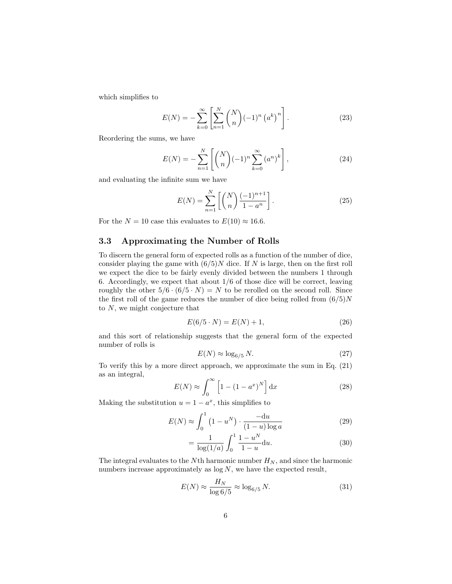which simplifies to

$$
E(N) = -\sum_{k=0}^{\infty} \left[ \sum_{n=1}^{N} {N \choose n} (-1)^n (a^k)^n \right].
$$
 (23)

Reordering the sums, we have

$$
E(N) = -\sum_{n=1}^{N} \left[ \binom{N}{n} (-1)^n \sum_{k=0}^{\infty} (a^n)^k \right],
$$
 (24)

and evaluating the infinite sum we have

$$
E(N) = \sum_{n=1}^{N} \left[ \binom{N}{n} \frac{(-1)^{n+1}}{1 - a^n} \right].
$$
 (25)

For the  $N = 10$  case this evaluates to  $E(10) \approx 16.6$ .

### 3.3 Approximating the Number of Rolls

To discern the general form of expected rolls as a function of the number of dice, consider playing the game with  $(6/5)N$  dice. If N is large, then on the first roll we expect the dice to be fairly evenly divided between the numbers 1 through 6. Accordingly, we expect that about 1/6 of those dice will be correct, leaving roughly the other  $5/6 \cdot (6/5 \cdot N) = N$  to be rerolled on the second roll. Since the first roll of the game reduces the number of dice being rolled from  $(6/5)N$ to N, we might conjecture that

$$
E(6/5 \cdot N) = E(N) + 1,\t(26)
$$

and this sort of relationship suggests that the general form of the expected number of rolls is

$$
E(N) \approx \log_{6/5} N. \tag{27}
$$

To verify this by a more direct approach, we approximate the sum in Eq. (21) as an integral,

$$
E(N) \approx \int_0^\infty \left[1 - \left(1 - a^x\right)^N\right] \mathrm{d}x\tag{28}
$$

Making the substitution  $u = 1 - a^x$ , this simplifies to

$$
E(N) \approx \int_0^1 \left(1 - u^N\right) \cdot \frac{-\mathrm{d}u}{(1 - u)\log a} \tag{29}
$$

$$
= \frac{1}{\log(1/a)} \int_0^1 \frac{1 - u^N}{1 - u} \mathrm{d}u. \tag{30}
$$

The integral evaluates to the Nth harmonic number  $H_N$ , and since the harmonic numbers increase approximately as  $log N$ , we have the expected result,

$$
E(N) \approx \frac{H_N}{\log 6/5} \approx \log_{6/5} N. \tag{31}
$$